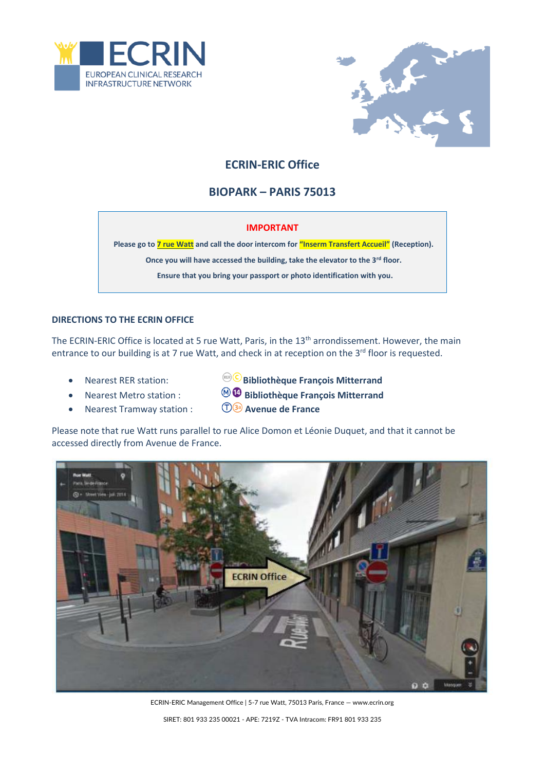



# **ECRIN-ERIC Office**

## **BIOPARK – PARIS 75013**

#### **IMPORTANT**

**Please go to 7 rue Watt and call the door intercom for "Inserm Transfert Accueil" (Reception).**

**Once you will have accessed the building, take the elevator to the 3rd floor.** 

**Ensure that you bring your passport or photo identification with you.**

#### **DIRECTIONS TO THE ECRIN OFFICE**

The ECRIN-ERIC Office is located at 5 rue Watt, Paris, in the 13<sup>th</sup> arrondissement. However, the main entrance to our building is at 7 rue Watt, and check in at reception on the 3<sup>rd</sup> floor is requested.

- 
- 
- **•** Nearest Tramway station :
- Nearest RER station: **Bibliothèque François Mitterrand**
- **Nearest Metro station :**  $\bigcirc$  **Bibliothèque François Mitterrand**<br>Nearest Tramway station :  $\bigcirc$  **B** Avenue de France
	-

Please note that rue Watt runs parallel to rue Alice Domon et Léonie Duquet, and that it cannot be accessed directly from Avenue de France.



ECRIN-ERIC Management Office | 5-7 rue Watt, 75013 Paris, France — www.ecrin.org SIRET: 801 933 235 00021 - APE: 7219Z - TVA Intracom: FR91 801 933 235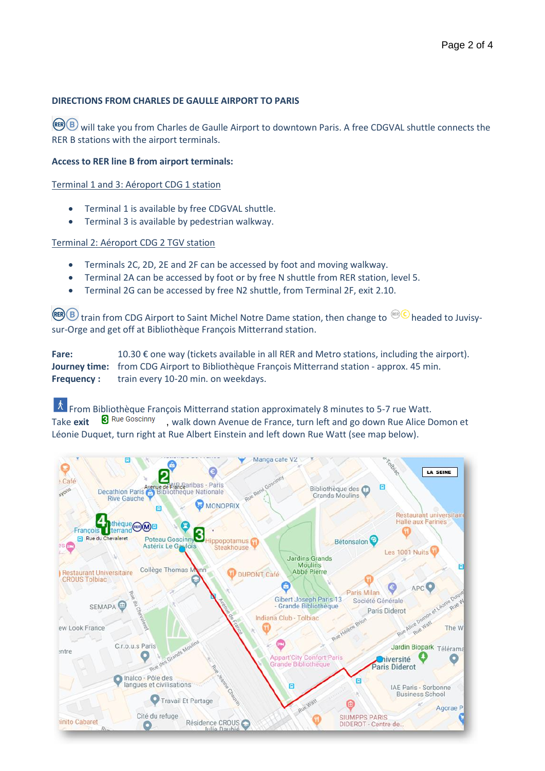### **DIRECTIONS FROM CHARLES DE GAULLE AIRPORT TO PARIS**

REER B will take you from Charles de Gaulle Airport to downtown Paris. A free CDGVAL shuttle connects the RER B stations with the airport terminals.

#### **Access to RER line B from airport terminals:**

Terminal 1 and 3: Aéroport CDG 1 station

- Terminal 1 is available by free CDGVAL shuttle.
- Terminal 3 is available by pedestrian walkway.

#### Terminal 2: Aéroport CDG 2 TGV station

- Terminals 2C, 2D, 2E and 2F can be accessed by foot and moving walkway.
- Terminal 2A can be accessed by foot or by free N shuttle from RER station, level 5.
- Terminal 2G can be accessed by free N2 shuttle, from Terminal 2F, exit 2.10.

**RER B** train from CDG Airport to Saint Michel Notre Dame station, then change to  $\frac{\text{RER}}{\text{CB}}$  headed to Juvisysur-Orge and get off at Bibliothèque François Mitterrand station.

**Fare:** 10.30 € one way (tickets available in all RER and Metro stations, including the airport). **Journey time:** from CDG Airport to Bibliothèque François Mitterrand station - approx. 45 min. **Frequency :** train every 10-20 min. on weekdays.

 $\hat{A}$  From Bibliothèque François Mitterrand station approximately 8 minutes to 5-7 rue Watt.<br>Take **exit. S** Rue Goscinny walk down Avenue de France, turn left and go down Rue Alice D Take **exit &** Rue Goscinny , walk down Avenue de France, turn left and go down Rue Alice Domon et Léonie Duquet, turn right at Rue Albert Einstein and left down Rue Watt (see map below).

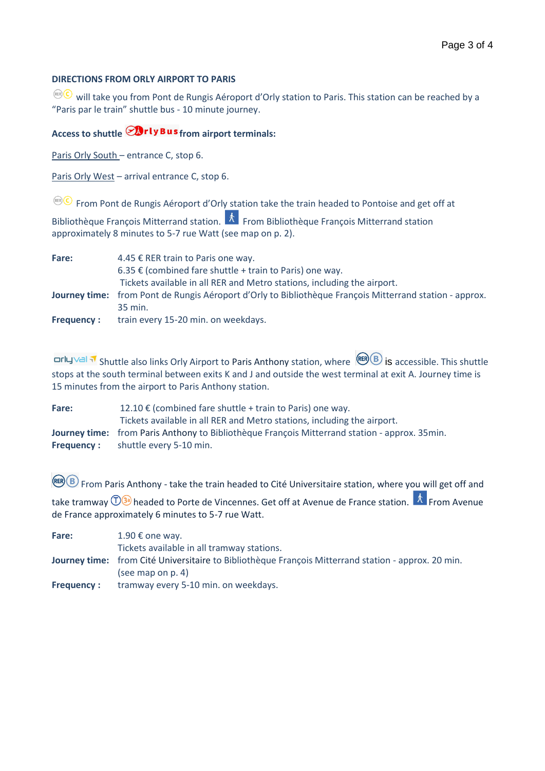### **DIRECTIONS FROM ORLY AIRPORT TO PARIS**

 $\overline{\text{C}}$  will take you from Pont de Rungis Aéroport d'Orly station to Paris. This station can be reached by a "Paris par le train" shuttle bus - 10 minute journey.

## Access to shuttle **Drly Bus** from airport terminals:

Paris Orly South – entrance C, stop 6.

Paris Orly West – arrival entrance C, stop 6.

 $F^{\text{RHS}}$  From Pont de Rungis Aéroport d'Orly station take the train headed to Pontoise and get off at

Bibliothèque François Mitterrand station.  $\overrightarrow{k}$  From Bibliothèque François Mitterrand station approximately 8 minutes to 5-7 rue Watt (see map on p. 2).

| Fare:             | 4.45 € RER train to Paris one way.                                                                             |
|-------------------|----------------------------------------------------------------------------------------------------------------|
|                   | 6.35 € (combined fare shuttle + train to Paris) one way.                                                       |
|                   | Tickets available in all RER and Metro stations, including the airport.                                        |
|                   | <b>Journey time:</b> from Pont de Rungis Aéroport d'Orly to Bibliothèque François Mitterrand station - approx. |
|                   | 35 min.                                                                                                        |
| <b>Frequency:</b> | train every 15-20 min. on weekdays.                                                                            |

**Orly Val M** Shuttle also links Orly Airport to Paris Anthony station, where **EXP B** is accessible. This shuttle stops at the south terminal between exits K and J and outside the west terminal at exit A. Journey time is 15 minutes from the airport to Paris Anthony station.

**Fare:** 12.10 € (combined fare shuttle + train to Paris) one way. Tickets available in all RER and Metro stations, including the airport. **Journey time:** from Paris Anthony to Bibliothèque François Mitterrand station - approx. 35min. **Frequency :** shuttle every 5-10 min.

 $F(R)$  From Paris Anthony - take the train headed to Cité Universitaire station, where you will get off and

take tramway  $\widehat{D}$ <sup>3</sup> headed to Porte de Vincennes. Get off at Avenue de France station.  $\overline{K}$  From Avenue de France approximately 6 minutes to 5-7 rue Watt.

| Fare:             | 1.90 € one way.                                                                                     |
|-------------------|-----------------------------------------------------------------------------------------------------|
|                   | Tickets available in all tramway stations.                                                          |
|                   | Journey time: from Cité Universitaire to Bibliothèque François Mitterrand station - approx. 20 min. |
|                   | (see map on $p. 4$ )                                                                                |
| <b>Frequency:</b> | tramway every 5-10 min. on weekdays.                                                                |